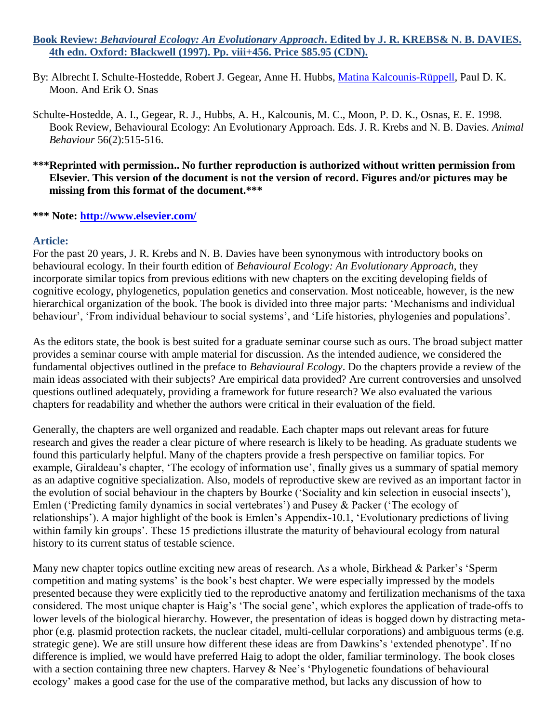## **Book Review:** *Behavioural Ecology: An Evolutionary Approach***. Edited by J. R. KREBS& N. B. DAVIES. 4th edn. Oxford: Blackwell (1997). Pp. viii+456. Price \$85.95 (CDN).**

- By: Albrecht I. Schulte-Hostedde, Robert J. Gegear, Anne H. Hubbs, [Matina Kalcounis-Rüppell,](http://libres.uncg.edu/ir/uncg/clist.aspx?id=137) Paul D. K. Moon. And Erik O. Snas
- Schulte-Hostedde, A. I., Gegear, R. J., Hubbs, A. H., Kalcounis, M. C., Moon, P. D. K., Osnas, E. E. 1998. Book Review, Behavioural Ecology: An Evolutionary Approach. Eds. J. R. Krebs and N. B. Davies. *Animal Behaviour* 56(2):515-516.
- **\*\*\*Reprinted with permission.. No further reproduction is authorized without written permission from Elsevier. This version of the document is not the version of record. Figures and/or pictures may be missing from this format of the document.\*\*\***

**\*\*\* Note:<http://www.elsevier.com/>**

## **Article:**

For the past 20 years, J. R. Krebs and N. B. Davies have been synonymous with introductory books on behavioural ecology. In their fourth edition of *Behavioural Ecology: An Evolutionary Approach*, they incorporate similar topics from previous editions with new chapters on the exciting developing fields of cognitive ecology, phylogenetics, population genetics and conservation. Most noticeable, however, is the new hierarchical organization of the book. The book is divided into three major parts: 'Mechanisms and individual behaviour', 'From individual behaviour to social systems', and 'Life histories, phylogenies and populations'.

As the editors state, the book is best suited for a graduate seminar course such as ours. The broad subject matter provides a seminar course with ample material for discussion. As the intended audience, we considered the fundamental objectives outlined in the preface to *Behavioural Ecology*. Do the chapters provide a review of the main ideas associated with their subjects? Are empirical data provided? Are current controversies and unsolved questions outlined adequately, providing a framework for future research? We also evaluated the various chapters for readability and whether the authors were critical in their evaluation of the field.

Generally, the chapters are well organized and readable. Each chapter maps out relevant areas for future research and gives the reader a clear picture of where research is likely to be heading. As graduate students we found this particularly helpful. Many of the chapters provide a fresh perspective on familiar topics. For example, Giraldeau's chapter, 'The ecology of information use', finally gives us a summary of spatial memory as an adaptive cognitive specialization. Also, models of reproductive skew are revived as an important factor in the evolution of social behaviour in the chapters by Bourke ('Sociality and kin selection in eusocial insects'), Emlen ('Predicting family dynamics in social vertebrates') and Pusey & Packer ('The ecology of relationships'). A major highlight of the book is Emlen's Appendix-10.1, 'Evolutionary predictions of living within family kin groups'. These 15 predictions illustrate the maturity of behavioural ecology from natural history to its current status of testable science.

Many new chapter topics outline exciting new areas of research. As a whole, Birkhead & Parker's 'Sperm competition and mating systems' is the book's best chapter. We were especially impressed by the models presented because they were explicitly tied to the reproductive anatomy and fertilization mechanisms of the taxa considered. The most unique chapter is Haig's 'The social gene', which explores the application of trade-offs to lower levels of the biological hierarchy. However, the presentation of ideas is bogged down by distracting metaphor (e.g. plasmid protection rackets, the nuclear citadel, multi-cellular corporations) and ambiguous terms (e.g. strategic gene). We are still unsure how different these ideas are from Dawkins's 'extended phenotype'. If no difference is implied, we would have preferred Haig to adopt the older, familiar terminology. The book closes with a section containing three new chapters. Harvey & Nee's 'Phylogenetic foundations of behavioural ecology' makes a good case for the use of the comparative method, but lacks any discussion of how to